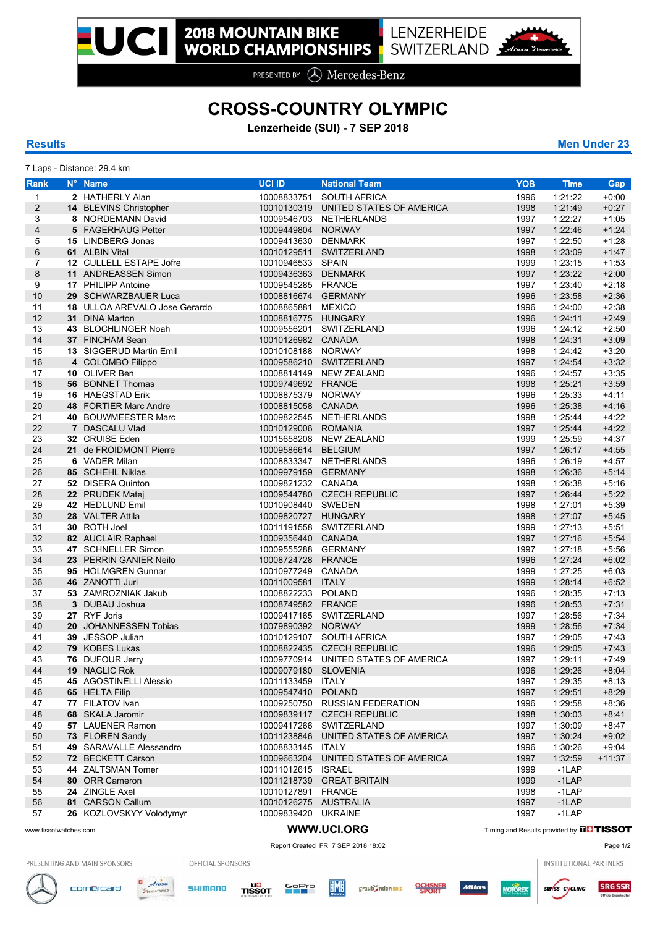PRESENTED BY **A** Mercedes-Benz

## **CROSS-COUNTRY OLYMPIC**

**Lenzerheide (SUI) - 7 SEP 2018**

7 Laps - Distance: 29.4 km

**Results Men Under 23**

| Rank                    | N° Name                       | <b>UCI ID</b>         | <b>National Team</b>                 | <b>YOB</b>                                     | <b>Time</b> | Gap      |
|-------------------------|-------------------------------|-----------------------|--------------------------------------|------------------------------------------------|-------------|----------|
| $\mathbf{1}$            | 2 HATHERLY Alan               | 10008833751           | <b>SOUTH AFRICA</b>                  | 1996                                           | 1:21:22     | $+0.00$  |
| $\overline{c}$          | 14 BLEVINS Christopher        | 10010130319           | UNITED STATES OF AMERICA             | 1998                                           | 1:21:49     | $+0:27$  |
| 3                       | 8 NORDEMANN David             |                       | 10009546703 NETHERLANDS              | 1997                                           | 1:22:27     | $+1:05$  |
|                         | 5 FAGERHAUG Petter            | 10009449804           | <b>NORWAY</b>                        | 1997                                           | 1:22:46     | $+1:24$  |
| $\overline{\mathbf{4}}$ |                               |                       |                                      |                                                |             |          |
| 5                       | 15 LINDBERG Jonas             | 10009413630 DENMARK   |                                      | 1997                                           | 1:22:50     | $+1:28$  |
| 6                       | 61 ALBIN Vital                | 10010129511           | SWITZERLAND                          | 1998                                           | 1:23:09     | $+1.47$  |
| $\overline{7}$          | 12 CULLELL ESTAPE Jofre       | 10010946533 SPAIN     |                                      | 1999                                           | 1:23:15     | $+1.53$  |
| 8                       | 11 ANDREASSEN Simon           | 10009436363           | <b>DENMARK</b>                       | 1997                                           | 1:23:22     | $+2:00$  |
| 9                       | 17 PHILIPP Antoine            | 10009545285 FRANCE    |                                      | 1997                                           | 1:23:40     | $+2:18$  |
| 10                      | 29 SCHWARZBAUER Luca          | 10008816674 GERMANY   |                                      | 1996                                           | 1:23:58     | $+2:36$  |
| 11                      | 18 ULLOA AREVALO Jose Gerardo | 10008865881           | <b>MEXICO</b>                        | 1996                                           | 1:24:00     | $+2:38$  |
| 12                      | 31 DINA Marton                | 10008816775           | <b>HUNGARY</b>                       | 1996                                           | 1:24:11     | $+2.49$  |
| 13                      | 43 BLOCHLINGER Noah           |                       | 10009556201 SWITZERLAND              | 1996                                           | 1:24:12     | $+2:50$  |
| 14                      | 37 FINCHAM Sean               | 10010126982 CANADA    |                                      | 1998                                           | 1:24:31     | $+3.09$  |
| 15                      | 13 SIGGERUD Martin Emil       | 10010108188 NORWAY    |                                      | 1998                                           | 1:24:42     | $+3:20$  |
|                         |                               |                       |                                      |                                                |             |          |
| 16                      | 4 COLOMBO Filippo             |                       | 10009586210 SWITZERLAND              | 1997                                           | 1:24:54     | $+3:32$  |
| 17                      | 10 OLIVER Ben                 |                       | 10008814149 NEW ZEALAND              | 1996                                           | 1:24:57     | $+3:35$  |
| 18                      | <b>56 BONNET Thomas</b>       | 10009749692 FRANCE    |                                      | 1998                                           | 1:25:21     | $+3:59$  |
| 19                      | 16 HAEGSTAD Erik              | 10008875379 NORWAY    |                                      | 1996                                           | 1:25:33     | $+4:11$  |
| 20                      | 48 FORTIER Marc Andre         | 10008815058 CANADA    |                                      | 1996                                           | 1:25:38     | $+4:16$  |
| 21                      | 40 BOUWMEESTER Marc           |                       | 10009822545 NETHERLANDS              | 1998                                           | 1:25:44     | $+4:22$  |
| 22                      | 7 DASCALU Vlad                | 10010129006 ROMANIA   |                                      | 1997                                           | 1:25:44     | $+4:22$  |
| 23                      | 32 CRUISE Eden                |                       | 10015658208 NEW ZEALAND              | 1999                                           | 1:25:59     | $+4.37$  |
| 24                      | 21 de FROIDMONT Pierre        | 10009586614           | <b>BELGIUM</b>                       | 1997                                           | 1:26:17     | $+4:55$  |
| 25                      | 6 VADER Milan                 |                       | 10008833347 NETHERLANDS              | 1996                                           | 1:26:19     | $+4.57$  |
| 26                      | 85 SCHEHL Niklas              | 10009979159 GERMANY   |                                      | 1998                                           | 1:26:36     | $+5.14$  |
|                         |                               |                       |                                      | 1998                                           |             |          |
| 27                      | 52 DISERA Quinton             | 10009821232 CANADA    |                                      |                                                | 1:26:38     | $+5:16$  |
| 28                      | 22 PRUDEK Matej               |                       | 10009544780 CZECH REPUBLIC           | 1997                                           | 1:26:44     | $+5:22$  |
| 29                      | 42 HEDLUND Emil               | 10010908440 SWEDEN    |                                      | 1998                                           | 1:27:01     | $+5.39$  |
| 30                      | 28 VALTER Attila              | 10009820727 HUNGARY   |                                      | 1998                                           | 1:27:07     | $+5.45$  |
| 31                      | 30 ROTH Joel                  |                       | 10011191558 SWITZERLAND              | 1999                                           | 1:27:13     | $+5.51$  |
| 32                      | 82 AUCLAIR Raphael            | 10009356440           | CANADA                               | 1997                                           | 1:27:16     | $+5.54$  |
| 33                      | 47 SCHNELLER Simon            | 10009555288 GERMANY   |                                      | 1997                                           | 1:27:18     | $+5:56$  |
| 34                      | 23 PERRIN GANIER Neilo        | 10008724728 FRANCE    |                                      | 1996                                           | 1:27:24     | $+6.02$  |
| 35                      | 95 HOLMGREN Gunnar            | 10010977249 CANADA    |                                      | 1999                                           | 1:27:25     | $+6.03$  |
| 36                      | 46 ZANOTTI Juri               | 10011009581           | <b>ITALY</b>                         | 1999                                           | 1:28:14     | $+6.52$  |
| 37                      | 53 ZAMROZNIAK Jakub           | 10008822233 POLAND    |                                      | 1996                                           | 1:28:35     | $+7:13$  |
| 38                      | 3 DUBAU Joshua                | 10008749582 FRANCE    |                                      | 1996                                           | 1:28:53     | $+7.31$  |
| 39                      | 27 RYF Joris                  |                       | 10009417165 SWITZERLAND              | 1997                                           | 1:28:56     | $+7:34$  |
| 40                      | 20 JOHANNESSEN Tobias         | 10079890392 NORWAY    |                                      | 1999                                           | 1:28:56     |          |
|                         |                               |                       |                                      |                                                |             | $+7.34$  |
| 41                      | 39 JESSOP Julian              |                       | 10010129107 SOUTH AFRICA             | 1997                                           | 1:29:05     | $+7.43$  |
| 42                      | 79 KOBES Lukas                |                       | 10008822435 CZECH REPUBLIC           | 1996                                           | 1:29:05     | $+7.43$  |
| 43                      | 76 DUFOUR Jerry               |                       | 10009770914 UNITED STATES OF AMERICA | 1997                                           | 1:29:11     | $+7.49$  |
| 44                      | <b>19 NAGLIC Rok</b>          | 10009079180           | <b>SLOVENIA</b>                      | 1996                                           | 1:29:26     | +8:04    |
| 45                      | 45 AGOSTINELLI Alessio        | 10011133459 ITALY     |                                      | 1997                                           | 1:29:35     | $+8:13$  |
| 46                      | 65 HELTA Filip                | 10009547410           | <b>POLAND</b>                        | 1997                                           | 1:29.51     | $+8.29$  |
| 47                      | 77 FILATOV Ivan               |                       | 10009250750 RUSSIAN FEDERATION       | 1996                                           | 1:29:58     | +8:36    |
| 48                      | 68 SKALA Jaromir              | 10009839117           | <b>CZECH REPUBLIC</b>                | 1998                                           | 1:30:03     | $+8.41$  |
| 49                      | 57 LAUENER Ramon              |                       | 10009417266 SWITZERLAND              | 1997                                           | 1:30:09     | $+8.47$  |
| 50                      | 73 FLOREN Sandy               | 10011238846           | UNITED STATES OF AMERICA             | 1997                                           | 1:30:24     | $+9:02$  |
| 51                      | 49 SARAVALLE Alessandro       | 10008833145 ITALY     |                                      | 1996                                           | 1:30:26     | $+9.04$  |
| 52                      | 72 BECKETT Carson             |                       | 10009663204 UNITED STATES OF AMERICA | 1997                                           | 1:32:59     | $+11:37$ |
|                         |                               |                       |                                      |                                                |             |          |
| 53                      | 44 ZALTSMAN Tomer             | 10011012615 ISRAEL    |                                      | 1999                                           | $-1$ LAP    |          |
| 54                      | 80 ORR Cameron                |                       | 10011218739 GREAT BRITAIN            | 1999                                           | $-1LAP$     |          |
| 55                      | 24 ZINGLE Axel                | 10010127891 FRANCE    |                                      | 1998                                           | $-1$ LAP    |          |
| 56                      | 81 CARSON Callum              | 10010126275 AUSTRALIA |                                      | 1997                                           | $-1LAP$     |          |
| 57                      | 26 KOZLOVSKYY Volodymyr       | 10009839420 UKRAINE   |                                      | 1997                                           | $-1$ LAP    |          |
|                         |                               |                       | WWW.UCI.ORG                          | Timing and Results provided by <b>FLTISSOT</b> |             |          |
| www.tissotwatches.com   |                               |                       |                                      |                                                |             |          |

Report Created FRI 7 SEP 2018 18:02 Page 1/2

PRESENTING AND MAIN SPONSORS

cornercard

OFFICIAL SPONSORS





 $\blacksquare$ 





graub Jnden BIKE



INSTITUTIONAL PARTNERS